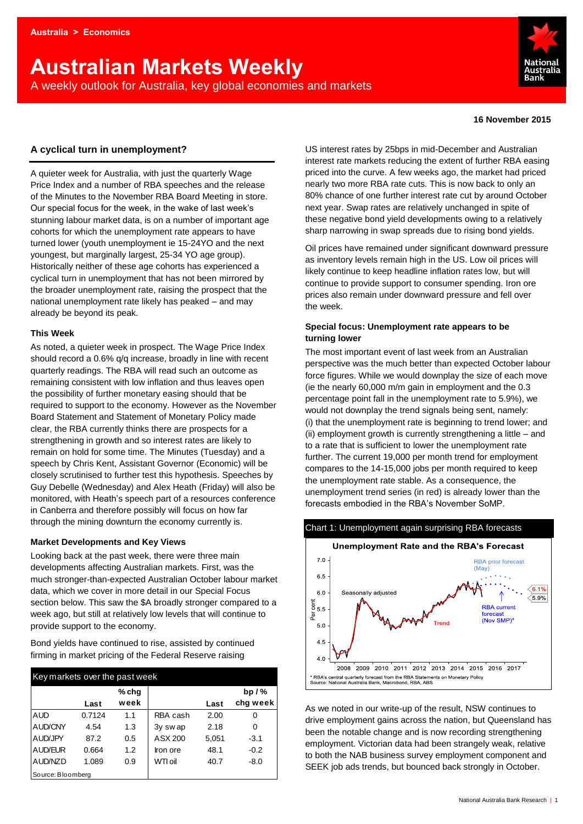# **Australian Markets Weekly**  A weekly outlook for Australia, key global economies and markets



#### **16 November 2015**

## **A cyclical turn in unemployment?**

A quieter week for Australia, with just the quarterly Wage Price Index and a number of RBA speeches and the release of the Minutes to the November RBA Board Meeting in store. Our special focus for the week, in the wake of last week's stunning labour market data, is on a number of important age cohorts for which the unemployment rate appears to have turned lower (youth unemployment ie 15-24YO and the next youngest, but marginally largest, 25-34 YO age group). Historically neither of these age cohorts has experienced a cyclical turn in unemployment that has not been mirrored by the broader unemployment rate, raising the prospect that the national unemployment rate likely has peaked – and may already be beyond its peak.

#### **This Week**

As noted, a quieter week in prospect. The Wage Price Index should record a 0.6% q/q increase, broadly in line with recent quarterly readings. The RBA will read such an outcome as remaining consistent with low inflation and thus leaves open the possibility of further monetary easing should that be required to support to the economy. However as the November Board Statement and Statement of Monetary Policy made clear, the RBA currently thinks there are prospects for a strengthening in growth and so interest rates are likely to remain on hold for some time. The Minutes (Tuesday) and a speech by Chris Kent, Assistant Governor (Economic) will be closely scrutinised to further test this hypothesis. Speeches by Guy Debelle (Wednesday) and Alex Heath (Friday) will also be monitored, with Heath's speech part of a resources conference in Canberra and therefore possibly will focus on how far through the mining downturn the economy currently is.

## **Market Developments and Key Views**

Looking back at the past week, there were three main developments affecting Australian markets. First, was the much stronger-than-expected Australian October labour market data, which we cover in more detail in our Special Focus section below. This saw the \$A broadly stronger compared to a week ago, but still at relatively low levels that will continue to provide support to the economy.

Bond yields have continued to rise, assisted by continued firming in market pricing of the Federal Reserve raising

| Key markets over the past week |        |       |          |       |          |  |  |  |  |
|--------------------------------|--------|-------|----------|-------|----------|--|--|--|--|
|                                |        | % chq |          |       | $bp/$ %  |  |  |  |  |
|                                | Last   | week  |          | Last  | chg week |  |  |  |  |
| <b>AUD</b>                     | 0.7124 | 1.1   | RBA cash | 2.00  | O        |  |  |  |  |
| <b>AUD/CNY</b>                 | 4.54   | 1.3   | 3y swap  | 2.18  | 0        |  |  |  |  |
| AUD/JPY                        | 87.2   | 0.5   | ASX 200  | 5,051 | $-3.1$   |  |  |  |  |
| AUD/EUR                        | 0.664  | 1.2   | Iron ore | 48.1  | $-0.2$   |  |  |  |  |
| AUD/NZD                        | 1.089  | 0.9   | WTI oil  | 40.7  | $-8.0$   |  |  |  |  |
| Source: Bloomberg              |        |       |          |       |          |  |  |  |  |

US interest rates by 25bps in mid-December and Australian interest rate markets reducing the extent of further RBA easing priced into the curve. A few weeks ago, the market had priced nearly two more RBA rate cuts. This is now back to only an 80% chance of one further interest rate cut by around October next year. Swap rates are relatively unchanged in spite of these negative bond yield developments owing to a relatively sharp narrowing in swap spreads due to rising bond yields.

Oil prices have remained under significant downward pressure as inventory levels remain high in the US. Low oil prices will likely continue to keep headline inflation rates low, but will continue to provide support to consumer spending. Iron ore prices also remain under downward pressure and fell over the week.

#### **Special focus: Unemployment rate appears to be turning lower**

The most important event of last week from an Australian perspective was the much better than expected October labour force figures. While we would downplay the size of each move (ie the nearly 60,000 m/m gain in employment and the 0.3 percentage point fall in the unemployment rate to 5.9%), we would not downplay the trend signals being sent, namely: (i) that the unemployment rate is beginning to trend lower; and (ii) employment growth is currently strengthening a little – and to a rate that is sufficient to lower the unemployment rate further. The current 19,000 per month trend for employment compares to the 14-15,000 jobs per month required to keep the unemployment rate stable. As a consequence, the unemployment trend series (in red) is already lower than the forecasts embodied in the RBA's November SoMP.



As we noted in our write-up of the result, NSW continues to drive employment gains across the nation, but Queensland has been the notable change and is now recording strengthening employment. Victorian data had been strangely weak, relative to both the NAB business survey employment component and SEEK job ads trends, but bounced back strongly in October.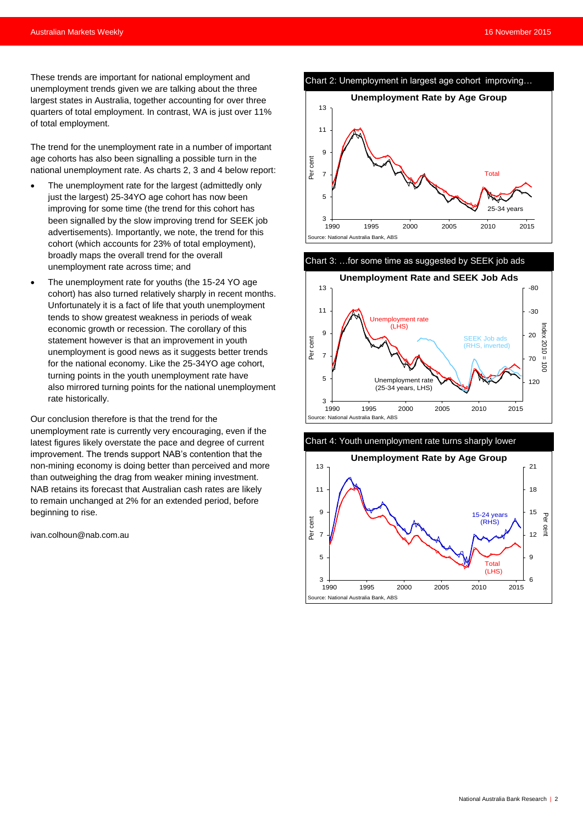These trends are important for national employment and unemployment trends given we are talking about the three largest states in Australia, together accounting for over three quarters of total employment. In contrast, WA is just over 11% of total employment.

The trend for the unemployment rate in a number of important age cohorts has also been signalling a possible turn in the national unemployment rate. As charts 2, 3 and 4 below report:

- The unemployment rate for the largest (admittedly only just the largest) 25-34YO age cohort has now been improving for some time (the trend for this cohort has been signalled by the slow improving trend for SEEK job advertisements). Importantly, we note, the trend for this cohort (which accounts for 23% of total employment), broadly maps the overall trend for the overall unemployment rate across time; and
- The unemployment rate for youths (the 15-24 YO age cohort) has also turned relatively sharply in recent months. Unfortunately it is a fact of life that youth unemployment tends to show greatest weakness in periods of weak economic growth or recession. The corollary of this statement however is that an improvement in youth unemployment is good news as it suggests better trends for the national economy. Like the 25-34YO age cohort, turning points in the youth unemployment rate have also mirrored turning points for the national unemployment rate historically.

Our conclusion therefore is that the trend for the unemployment rate is currently very encouraging, even if the latest figures likely overstate the pace and degree of current improvement. The trends support NAB's contention that the non-mining economy is doing better than perceived and more than outweighing the drag from weaker mining investment. NAB retains its forecast that Australian cash rates are likely to remain unchanged at 2% for an extended period, before beginning to rise.

[ivan.colhoun@nab.com.au](mailto:ivan.colhoun@nab.com.au)







Chart 4: Youth unemployment rate turns sharply lower

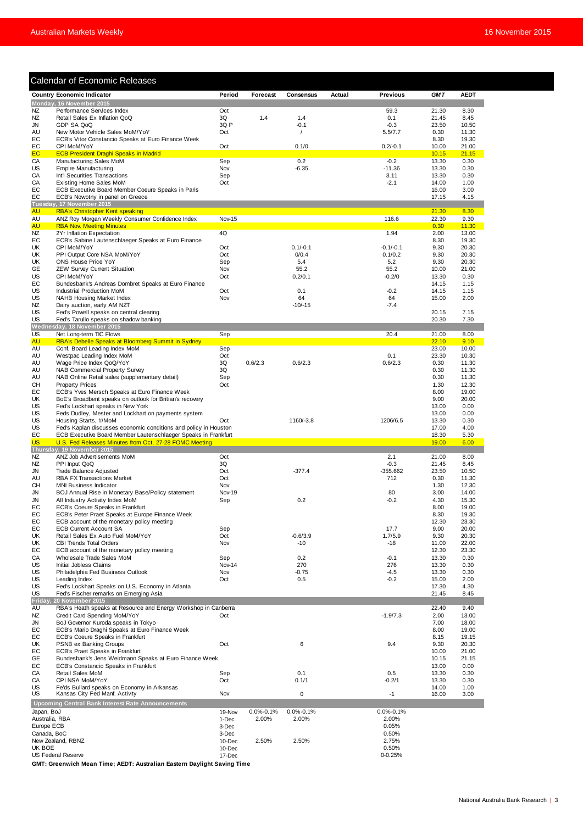|                 | <b>Calendar of Economic Releases</b>                                                          |                  |                 |                 |        |                      |                |                |
|-----------------|-----------------------------------------------------------------------------------------------|------------------|-----------------|-----------------|--------|----------------------|----------------|----------------|
|                 | <b>Country Economic Indicator</b>                                                             | Period           | Forecast        | Consensus       | Actual | <b>Previous</b>      | <b>GMT</b>     | <b>AEDT</b>    |
|                 | Monday, 16 November 2015                                                                      |                  |                 |                 |        |                      |                |                |
| NZ              | Performance Services Index                                                                    | Oct<br>3Q        |                 | 1.4             |        | 59.3                 | 21.30          | 8.30           |
| NZ<br>JN        | Retail Sales Ex Inflation QoQ<br>GDP SA QoQ                                                   | 3Q P             | 1.4             | $-0.1$          |        | 0.1<br>$-0.3$        | 21.45<br>23.50 | 8.45<br>10.50  |
| AU              | New Motor Vehicle Sales MoM/YoY                                                               | Oct              |                 | $\prime$        |        | 5.5/7.7              | 0.30           | 11.30          |
| EС              | ECB's Vitor Constancio Speaks at Euro Finance Week                                            |                  |                 |                 |        |                      | 8.30           | 19.30          |
| EC              | CPI MoM/YoY                                                                                   | Oct              |                 | 0.1/0           |        | $0.2/-0.1$           | 10.00          | 21.00          |
| EC.             | <b>ECB President Draghi Speaks in Madrid</b>                                                  |                  |                 |                 |        |                      | 10.15          | 21.15          |
| CA<br>US        | Manufacturing Sales MoM<br><b>Empire Manufacturing</b>                                        | Sep<br>Nov       |                 | 0.2<br>$-6.35$  |        | $-0.2$<br>$-11.36$   | 13.30<br>13.30 | 0.30<br>0.30   |
| СA              | Int'l Securities Transactions                                                                 | Sep              |                 |                 |        | 3.11                 | 13.30          | 0.30           |
| CA              | Existing Home Sales MoM                                                                       | Oct              |                 |                 |        | $-2.1$               | 14.00          | 1.00           |
| EС              | ECB Executive Board Member Coeure Speaks in Paris                                             |                  |                 |                 |        |                      | 16.00          | 3.00           |
| EС              | ECB's Nowotny in panel on Greece                                                              |                  |                 |                 |        |                      | 17.15          | 4.15           |
|                 | Tuesday, 17 November 2015                                                                     |                  |                 |                 |        |                      |                |                |
| <b>AU</b><br>AU | <b>RBA's Christopher Kent speaking</b><br>ANZ Roy Morgan Weekly Consumer Confidence Index     | Nov-15           |                 |                 |        | 116.6                | 21.30<br>22.30 | 8.30<br>9.30   |
| AU              | <b>RBA Nov. Meeting Minutes</b>                                                               |                  |                 |                 |        |                      | 0.30           | 11.30          |
| NZ              | 2Yr Inflation Expectation                                                                     | 4Q               |                 |                 |        | 1.94                 | 2.00           | 13.00          |
| EC              | ECB's Sabine Lautenschlaeger Speaks at Euro Finance                                           |                  |                 |                 |        |                      | 8.30           | 19.30          |
| UK              | CPI MoM/YoY                                                                                   | Oct              |                 | $0.1/-0.1$      |        | $-0.1/-0.1$          | 9.30           | 20.30          |
| UK              | PPI Output Core NSA MoM/YoY                                                                   | Oct              |                 | 0/0.4           |        | 0.1/0.2              | 9.30           | 20.30          |
| UK<br>GE        | ONS House Price YoY<br><b>ZEW Survey Current Situation</b>                                    | Sep<br>Nov       |                 | 5.4<br>55.2     |        | 5.2<br>55.2          | 9.30<br>10.00  | 20.30<br>21.00 |
| US              | CPI MoM/YoY                                                                                   | Oct              |                 | 0.2/0.1         |        | $-0.2/0$             | 13.30          | 0.30           |
| EС              | Bundesbank's Andreas Dombret Speaks at Euro Finance                                           |                  |                 |                 |        |                      | 14.15          | 1.15           |
| US              | Industrial Production MoM                                                                     | Oct              |                 | 0.1             |        | $-0.2$               | 14.15          | 1.15           |
| US              | NAHB Housing Market Index                                                                     | Nov              |                 | 64              |        | 64                   | 15.00          | 2.00           |
| <b>NZ</b>       | Dairy auction, early AM NZT                                                                   |                  |                 | $-10/-15$       |        | $-7.4$               |                |                |
| US<br>US        | Fed's Powell speaks on central clearing<br>Fed's Tarullo speaks on shadow banking             |                  |                 |                 |        |                      | 20.15<br>20.30 | 7.15<br>7.30   |
|                 | Wednesday, 18 November 2015                                                                   |                  |                 |                 |        |                      |                |                |
| US              | Net Long-term TIC Flows                                                                       | Sep              |                 |                 |        | 20.4                 | 21.00          | 8.00           |
| <b>AU</b>       | RBA's Debelle Speaks at Bloomberg Summit in Sydney                                            |                  |                 |                 |        |                      | 22.10          | 9.10           |
| AU              | Conf. Board Leading Index MoM                                                                 | Sep              |                 |                 |        |                      | 23.00          | 10.00          |
| AU              | Westpac Leading Index MoM                                                                     | Oct              |                 |                 |        | 0.1                  | 23.30          | 10.30          |
| AU<br>AU        | Wage Price Index QoQ/YoY                                                                      | 3Q<br>3Q         | 0.6/2.3         | 0.6/2.3         |        | 0.6/2.3              | 0.30<br>0.30   | 11.30<br>11.30 |
| AU              | <b>NAB Commercial Property Survey</b><br>NAB Online Retail sales (supplementary detail)       | Sep              |                 |                 |        |                      | 0.30           | 11.30          |
| CН              | <b>Property Prices</b>                                                                        | Oct              |                 |                 |        |                      | 1.30           | 12.30          |
| EС              | ECB's Yves Mersch Speaks at Euro Finance Week                                                 |                  |                 |                 |        |                      | 8.00           | 19.00          |
| UK              | BoE's Broadbent speaks on outlook for Britian's recovery                                      |                  |                 |                 |        |                      | 9.00           | 20.00          |
| US              | Fed's Lockhart speaks in New York                                                             |                  |                 |                 |        |                      | 13.00          | 0.00           |
| US<br>US        | Feds Dudley, Mester and Lockhart on payments system                                           | Oct              |                 | 1160/-3.8       |        | 1206/6.5             | 13.00          | 0.00           |
| US              | Housing Starts, #/MoM<br>Fed's Kaplan discusses economic conditions and policy in Houston     |                  |                 |                 |        |                      | 13.30<br>17.00 | 0.30<br>4.00   |
| EC              | ECB Executive Board Member Lautenschlaeger Speaks in Frankfurt                                |                  |                 |                 |        |                      | 18.30          | 5.30           |
| <b>US</b>       | U.S. Fed Releases Minutes from Oct. 27-28 FOMC Meeting                                        |                  |                 |                 |        |                      | 19.00          | 6.00           |
|                 | Thursday, 19 November 2015                                                                    |                  |                 |                 |        |                      |                |                |
| NZ              | ANZ Job Advertisements MoM                                                                    | Oct              |                 |                 |        | 2.1                  | 21.00          | 8.00           |
| NZ<br>JN        | PPI Input QoQ<br><b>Trade Balance Adjusted</b>                                                | 3Q<br>Oct        |                 | $-377.4$        |        | $-0.3$<br>$-355.662$ | 21.45<br>23.50 | 8.45<br>10.50  |
| AU              | <b>RBA FX Transactions Market</b>                                                             | Oct              |                 |                 |        | 712                  | 0.30           | 11.30          |
| CН              | <b>MNI Business Indicator</b>                                                                 | Nov              |                 |                 |        |                      | 1.30           | 12.30          |
| JN              | BOJ Annual Rise in Monetary Base/Policy statement                                             | <b>Nov-19</b>    |                 |                 |        | 80                   | 3.00           | 14.00          |
| JN              | All Industry Activity Index MoM                                                               | Sep              |                 | 0.2             |        | $-0.2$               | 4.30           | 15.30          |
| EC              | ECB's Coeure Speaks in Frankfurt                                                              |                  |                 |                 |        |                      | 8.00           | 19.00          |
| EС<br>EC        | ECB's Peter Praet Speaks at Europe Finance Week<br>ECB account of the monetary policy meeting |                  |                 |                 |        |                      | 8.30<br>12.30  | 19.30<br>23.30 |
| EC              | <b>ECB Current Account SA</b>                                                                 | Sep              |                 |                 |        | 17.7                 | 9.00           | 20.00          |
| UK              | Retail Sales Ex Auto Fuel MoM/YoY                                                             | Oct              |                 | $-0.6/3.9$      |        | 1.7/5.9              | 9.30           | 20.30          |
| UK              | <b>CBI Trends Total Orders</b>                                                                | Nov              |                 | $-10$           |        | $-18$                | 11.00          | 22.00          |
| EС              | ECB account of the monetary policy meeting                                                    |                  |                 |                 |        |                      | 12.30          | 23.30          |
| CA              | Wholesale Trade Sales MoM                                                                     | Sep              |                 | 0.2             |        | $-0.1$               | 13.30          | 0.30           |
| US              | Initial Jobless Claims                                                                        | Nov-14           |                 | 270             |        | 276                  | 13.30          | 0.30           |
| US<br>US        | Philadelphia Fed Business Outlook<br>Leading Index                                            | Nov<br>Oct       |                 | $-0.75$<br>0.5  |        | $-4.5$<br>$-0.2$     | 13.30<br>15.00 | 0.30<br>2.00   |
| US              | Fed's Lockhart Speaks on U.S. Economy in Atlanta                                              |                  |                 |                 |        |                      | 17.30          | 4.30           |
| US              | Fed's Fischer remarks on Emerging Asia                                                        |                  |                 |                 |        |                      | 21.45          | 8.45           |
| Friday,         | 20 November 2015                                                                              |                  |                 |                 |        |                      |                |                |
| AU              | RBA's Heath speaks at Resource and Energy Workshop in Canberra                                |                  |                 |                 |        |                      | 22.40          | 9.40           |
| ΝZ              | Credit Card Spending MoM/YoY                                                                  | Oct              |                 |                 |        | $-1.9/7.3$           | 2.00           | 13.00          |
| JN<br>EС        | BoJ Governor Kuroda speaks in Tokyo<br>ECB's Mario Draghi Speaks at Euro Finance Week         |                  |                 |                 |        |                      | 7.00<br>8.00   | 18.00<br>19.00 |
| EС              | ECB's Coeure Speaks in Frankfurt                                                              |                  |                 |                 |        |                      | 8.15           | 19.15          |
| UK              | PSNB ex Banking Groups                                                                        | Oct              |                 | 6               |        | 9.4                  | 9.30           | 20.30          |
| EC              | ECB's Praet Speaks in Frankfurt                                                               |                  |                 |                 |        |                      | 10.00          | 21.00          |
| GE              | Bundesbank's Jens Weidmann Speaks at Euro Finance Week                                        |                  |                 |                 |        |                      | 10.15          | 21.15          |
| EC              | ECB's Constancio Speaks in Frankfurt                                                          |                  |                 |                 |        |                      | 13.00          | 0.00           |
| СA<br>СA        | Retail Sales MoM<br>CPI NSA MoM/YoY                                                           | Sep<br>Oct       |                 | 0.1<br>0.1/1    |        | 0.5<br>$-0.2/1$      | 13.30<br>13.30 | 0.30<br>0.30   |
| US              | Fe'ds Bullard speaks on Economy in Arkansas                                                   |                  |                 |                 |        |                      | 14.00          | 1.00           |
| US              | Kansas City Fed Manf. Activity                                                                | Nov              |                 | $\mathbf 0$     |        | $-1$                 | 16.00          | 3.00           |
|                 | <b>Upcoming Central Bank Interest Rate Announcements</b>                                      |                  |                 |                 |        |                      |                |                |
| Japan, BoJ      |                                                                                               | 19-Nov           | $0.0\% - 0.1\%$ | $0.0\% - 0.1\%$ |        | $0.0\% - 0.1\%$      |                |                |
| Australia, RBA  |                                                                                               | 1-Dec            | 2.00%           | 2.00%           |        | 2.00%                |                |                |
| Europe ECB      |                                                                                               | 3-Dec            |                 |                 |        | 0.05%                |                |                |
| Canada, BoC     |                                                                                               | 3-Dec            |                 |                 |        | 0.50%                |                |                |
| UK BOE          | New Zealand, RBNZ                                                                             | 10-Dec           | 2.50%           | 2.50%           |        | 2.75%                |                |                |
|                 | <b>US Federal Reserve</b>                                                                     | 10-Dec<br>17-Dec |                 |                 |        | 0.50%<br>$0 - 0.25%$ |                |                |
|                 |                                                                                               |                  |                 |                 |        |                      |                |                |

**GMT: Greenwich Mean Time; AEDT: Australian Eastern Daylight Saving Time**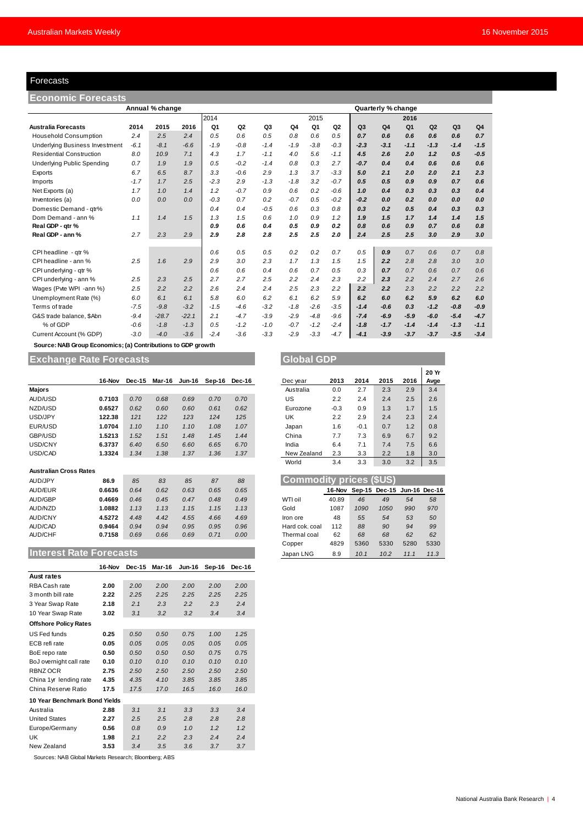# Forecasts

| Forecasts                                                    |        |         |         |                |                |                |        |        |                |                |                |                |        |        |                |
|--------------------------------------------------------------|--------|---------|---------|----------------|----------------|----------------|--------|--------|----------------|----------------|----------------|----------------|--------|--------|----------------|
| Economic Forecasts                                           |        |         |         |                |                |                |        |        |                |                |                |                |        |        |                |
| Annual % change<br>Quarterly % change                        |        |         |         |                |                |                |        |        |                |                |                |                |        |        |                |
|                                                              |        |         |         | 2014           |                |                |        | 2015   |                |                |                | 2016           |        |        |                |
| <b>Australia Forecasts</b>                                   | 2014   | 2015    | 2016    | Q <sub>1</sub> | Q <sub>2</sub> | Q <sub>3</sub> | Q4     | Q1     | Q <sub>2</sub> | Q <sub>3</sub> | Q <sub>4</sub> | Q <sub>1</sub> | Q2     | Q3     | Q <sub>4</sub> |
| <b>Household Consumption</b>                                 | 2.4    | 2.5     | 2.4     | 0.5            | 0.6            | 0.5            | 0.8    | 0.6    | 0.5            | 0.7            | 0.6            | 0.6            | 0.6    | 0.6    | 0.7            |
| <b>Underlying Business Investment</b>                        | $-6.1$ | $-8.1$  | $-6.6$  | $-1.9$         | $-0.8$         | $-1.4$         | $-1.9$ | $-3.8$ | $-0.3$         | $-2.3$         | $-3.1$         | $-1.1$         | $-1.3$ | $-1.4$ | $-1.5$         |
| <b>Residential Construction</b>                              | 8.0    | 10.9    | 7.1     | 4.3            | 1.7            | $-1.1$         | 4.0    | 5.6    | $-1.1$         | 4.5            | 2.6            | 2.0            | 1.2    | 0.5    | $-0.5$         |
| <b>Underlying Public Spending</b>                            | 0.7    | 1.9     | 1.9     | 0.5            | $-0.2$         | $-1.4$         | 0.8    | 0.3    | 2.7            | $-0.7$         | 0.4            | 0.4            | 0.6    | 0.6    | 0.6            |
| Exports                                                      | 6.7    | 6.5     | 8.7     | 3.3            | $-0.6$         | 2.9            | 1.3    | 3.7    | $-3.3$         | 5.0            | 2.1            | 2.0            | 2.0    | 2.1    | 2.3            |
| Imports                                                      | $-1.7$ | 1.7     | 2.5     | $-2.3$         | 2.9            | $-1.3$         | $-1.8$ | 3.2    | $-0.7$         | 0.5            | 0.5            | 0.9            | 0.9    | 0.7    | 0.6            |
| Net Exports (a)                                              | 1.7    | 1.0     | 1.4     | 1.2            | $-0.7$         | 0.9            | 0.6    | 0.2    | $-0.6$         | 1.0            | 0.4            | 0.3            | 0.3    | 0.3    | 0.4            |
| Inventories (a)                                              | 0.0    | 0.0     | 0.0     | $-0.3$         | 0.7            | 0.2            | $-0.7$ | 0.5    | $-0.2$         | $-0.2$         | 0.0            | 0.2            | 0.0    | 0.0    | 0.0            |
| Domestic Demand - qtr%                                       |        |         |         | 0.4            | 0.4            | $-0.5$         | 0.6    | 0.3    | 0.8            | 0.3            | 0.2            | 0.5            | 0.4    | 0.3    | 0.3            |
| Dom Demand - ann %                                           | 1.1    | 1.4     | 1.5     | 1.3            | 1.5            | 0.6            | 1.0    | 0.9    | 1.2            | 1.9            | 1.5            | 1.7            | 1.4    | 1.4    | 1.5            |
| Real GDP - qtr %                                             |        |         |         | 0.9            | 0.6            | 0.4            | 0.5    | 0.9    | 0.2            | 0.8            | 0.6            | 0.9            | 0.7    | 0.6    | 0.8            |
| Real GDP - ann %                                             | 2.7    | 2.3     | 2.9     | 2.9            | 2.8            | 2.8            | 2.5    | 2.5    | 2.0            | 2.4            | 2.5            | 2.5            | 3.0    | 2.9    | 3.0            |
| CPI headline - qtr %                                         |        |         |         | 0.6            | 0.5            | 0.5            | 0.2    | 0.2    | 0.7            | 0.5            | 0.9            | 0.7            | 0.6    | 0.7    | 0.8            |
| CPI headline - ann %                                         | 2.5    | 1.6     | 2.9     | 2.9            | 3.0            | 2.3            | 1.7    | 1.3    | 1.5            | 1.5            | 2.2            | 2.8            | 2.8    | 3.0    | 3.0            |
| CPI underlying - gtr %                                       |        |         |         | 0.6            | 0.6            | 0.4            | 0.6    | 0.7    | 0.5            | 0.3            | 0.7            | 0.7            | 0.6    | 0.7    | 0.6            |
| CPI underlying - ann %                                       | 2.5    | 2.3     | 2.5     | 2.7            | 2.7            | 2.5            | 2.2    | 2.4    | 2.3            | 2.2            | 2.3            | 2.2            | 2.4    | 2.7    | 2.6            |
| Wages (Pvte WPI -ann %)                                      | 2.5    | 2.2     | 2.2     | 2.6            | 2.4            | 2.4            | 2.5    | 2.3    | 2.2            | 2.2            | 2.2            | 2.3            | 2.2    | 2.2    | 2.2            |
| Unemployment Rate (%)                                        | 6.0    | 6.1     | 6.1     | 5.8            | 6.0            | 6.2            | 6.1    | 6.2    | 5.9            | 6.2            | 6.0            | 6.2            | 5.9    | 6.2    | 6.0            |
| Terms of trade                                               | $-7.5$ | $-9.8$  | $-3.2$  | $-1.5$         | $-4.6$         | $-3.2$         | $-1.8$ | $-2.6$ | $-3.5$         | $-1.4$         | $-0.6$         | 0.3            | $-1.2$ | $-0.8$ | $-0.9$         |
| G&S trade balance, \$Abn                                     | $-9.4$ | $-28.7$ | $-22.1$ | 2.1            | $-4.7$         | $-3.9$         | $-2.9$ | $-4.8$ | $-9.6$         | $-7.4$         | $-6.9$         | $-5.9$         | $-6.0$ | $-5.4$ | $-4.7$         |
| % of GDP                                                     | $-0.6$ | $-1.8$  | $-1.3$  | 0.5            | $-1.2$         | $-1.0$         | $-0.7$ | $-1.2$ | $-2.4$         | $-1.8$         | $-1.7$         | $-1.4$         | $-1.4$ | $-1.3$ | $-1.1$         |
| Current Account (% GDP)                                      | $-3.0$ | $-4.0$  | $-3.6$  | $-2.4$         | $-3.6$         | $-3.3$         | $-2.9$ | $-3.3$ | $-4.7$         | $-4.1$         | $-3.9$         | $-3.7$         | $-3.7$ | $-3.5$ | $-3.4$         |
| Source: NAB Group Economics; (a) Contributions to GDP growth |        |         |         |                |                |                |        |        |                |                |                |                |        |        |                |

**Exchange Rate Forecasts** 

|                               | 16-Nov | Dec-15 | Mar-16 | <b>Jun-16</b> | Sep-16 | Dec-16 |  | Dec year                | 2013   | 2014   | 2015          | 2016          | Avge |
|-------------------------------|--------|--------|--------|---------------|--------|--------|--|-------------------------|--------|--------|---------------|---------------|------|
| <b>Majors</b>                 |        |        |        |               |        |        |  | Australia               | 0.0    | 2.7    | 2.3           | 2.9           | 3.4  |
| AUD/USD                       | 0.7103 | 0.70   | 0.68   | 0.69          | 0.70   | 0.70   |  | US                      | 2.2    | 2.4    | 2.4           | 2.5           | 2.6  |
| NZD/USD                       | 0.6527 | 0.62   | 0.60   | 0.60          | 0.61   | 0.62   |  | Eurozone                | $-0.3$ | 0.9    | 1.3           | 1.7           | 1.5  |
| USD/JPY                       | 122.38 | 121    | 122    | 123           | 124    | 125    |  | UK                      | 2.2    | 2.9    | 2.4           | 2.3           | 2.4  |
| EUR/USD                       | 1.0704 | 1.10   | 1.10   | 1.10          | 1.08   | 1.07   |  | Japan                   | 1.6    | $-0.1$ | 0.7           | 1.2           | 0.8  |
| GBP/USD                       | 1.5213 | 1.52   | 1.51   | 1.48          | 1.45   | 1.44   |  | China                   | 7.7    | 7.3    | 6.9           | 6.7           | 9.2  |
| USD/CNY                       | 6.3737 | 6.40   | 6.50   | 6.60          | 6.65   | 6.70   |  | India                   | 6.4    | 7.1    | 7.4           | 7.5           | 6.6  |
| USD/CAD                       | 1.3324 | 1.34   | 1.38   | 1.37          | 1.36   | 1.37   |  | New Zealand             | 2.3    | 3.3    | 2.2           | 1.8           | 3.0  |
|                               |        |        |        |               |        |        |  | World                   | 3.4    | 3.3    | 3.0           | 3.2           | 3.5  |
| <b>Australian Cross Rates</b> |        |        |        |               |        |        |  |                         |        |        |               |               |      |
| AUD/JPY                       | 86.9   | 85     | 83     | 85            | 87     | 88     |  | Commodity prices (\$US) |        |        |               |               |      |
| AUD/EUR                       | 0.6636 | 0.64   | 0.62   | 0.63          | 0.65   | 0.65   |  |                         | 16-Nov |        | Sep-15 Dec-15 | Jun-16 Dec-16 |      |
| AUD/GBP                       | 0.4669 | 0.46   | 0.45   | 0.47          | 0.48   | 0.49   |  | WTI oil                 | 40.89  | 46     | 49            | 54            | 58   |
| AUD/NZD                       | 1.0882 | 1.13   | 1.13   | 1.15          | 1.15   | 1.13   |  | Gold                    | 1087   | 1090   | 1050          | 990           | 970  |
| <b>AUD/CNY</b>                | 4.5272 | 4.48   | 4.42   | 4.55          | 4.66   | 4.69   |  | Iron ore                | 48     | 55     | 54            | 53            | 50   |
| AUD/CAD                       | 0.9464 | 0.94   | 0.94   | 0.95          | 0.95   | 0.96   |  | Hard cok. coal          | 112    | 88     | 90            | 94            | 99   |
| <b>AUD/CHF</b>                | 0.7158 | 0.69   | 0.66   | 0.69          | 0.71   | 0.00   |  | Thermal coal            | 62     | 68     | 68            | 62            | 62   |
|                               |        |        |        |               |        |        |  | Copper                  | 4829   | 5360   | 5330          | 5280          | 5330 |

# **Interest Rate Forecasts**

|                               | 16-Nov | <b>Dec-15</b> | Mar-16 | <b>Jun-16</b> | Sep-16 | Dec-16 |
|-------------------------------|--------|---------------|--------|---------------|--------|--------|
| <b>Aust rates</b>             |        |               |        |               |        |        |
| RBA Cash rate                 | 2.00   | 2.00          | 2.00   | 2.00          | 2.00   | 2.00   |
| 3 month bill rate             | 2.22   | 2.25          | 2.25   | 2.25          | 2.25   | 2.25   |
| 3 Year Swap Rate              | 2.18   | 2.1           | 2.3    | 2.2           | 2.3    | 2.4    |
| 10 Year Swap Rate             | 3.02   | 3.1           | 3.2    | 3.2           | 3.4    | 3.4    |
| <b>Offshore Policy Rates</b>  |        |               |        |               |        |        |
| US Fed funds                  | 0.25   | 0.50          | 0.50   | 0.75          | 1.00   | 1.25   |
| ECB refi rate                 | 0.05   | 0.05          | 0.05   | 0.05          | 0.05   | 0.05   |
| BoE repo rate                 | 0.50   | 0.50          | 0.50   | 0.50          | 0.75   | 0.75   |
| BoJ overnight call rate       | 0.10   | 0.10          | 0.10   | 0.10          | 0.10   | 0.10   |
| RBNZ OCR                      | 2.75   | 2.50          | 2.50   | 2.50          | 2.50   | 2.50   |
| China 1yr lending rate        | 4.35   | 4.35          | 4.10   | 3.85          | 3.85   | 3.85   |
| China Reserve Ratio           | 17.5   | 17.5          | 17.0   | 16.5          | 16.0   | 16.0   |
| 10 Year Benchmark Bond Yields |        |               |        |               |        |        |
| Australia                     | 2.88   | 3.1           | 3.1    | 3.3           | 3.3    | 3.4    |
| <b>United States</b>          | 2.27   | 2.5           | 2.5    | 2.8           | 2.8    | 2.8    |
| Europe/Germany                | 0.56   | 0.8           | 0.9    | 1.0           | 1.2    | 1.2    |
| UK                            | 1.98   | 2.1           | 2.2    | 2.3           | 2.4    | 2.4    |
| New Zealand                   | 3.53   | 3.4           | 3.5    | 3.6           | 3.7    | 3.7    |

Sources: NAB Global Markets Research; Bloomberg; ABS

| <b>Global GDP</b> |        |        |      |      |               |  |  |  |  |
|-------------------|--------|--------|------|------|---------------|--|--|--|--|
| Dec year          | 2013   | 2014   | 2015 | 2016 | 20 Yr<br>Avge |  |  |  |  |
| Australia         | 0.0    | 2.7    | 2.3  | 2.9  | 3.4           |  |  |  |  |
| US                | 2.2    | 2.4    | 2.4  | 2.5  | 2.6           |  |  |  |  |
| Eurozone          | $-0.3$ | 0.9    | 1.3  | 1.7  | 1.5           |  |  |  |  |
| UK                | 2.2    | 2.9    | 2.4  | 2.3  | 2.4           |  |  |  |  |
| Japan             | 1.6    | $-0.1$ | 0.7  | 1.2  | 0.8           |  |  |  |  |
| China             | 7.7    | 7.3    | 6.9  | 6.7  | 9.2           |  |  |  |  |
| India             | 6.4    | 7.1    | 7.4  | 7.5  | 6.6           |  |  |  |  |
| New Zealand       | 2.3    | 3.3    | 2.2  | 1.8  | 3.0           |  |  |  |  |
| World             | 3.4    | 3.3    | 3.0  | 3.2  | 3.5           |  |  |  |  |

| <b>Commodity prices (\$US)</b> |        |      |                             |      |      |  |  |  |  |  |
|--------------------------------|--------|------|-----------------------------|------|------|--|--|--|--|--|
|                                | 16-Nov |      | Sep-15 Dec-15 Jun-16 Dec-16 |      |      |  |  |  |  |  |
| WTI oil                        | 40.89  | 46   | 49                          | 54   | 58   |  |  |  |  |  |
| Gold                           | 1087   | 1090 | 1050                        | 990  | 970  |  |  |  |  |  |
| Iron ore                       | 48     | 55   | 54                          | 53   | 50   |  |  |  |  |  |
| Hard cok. coal                 | 112    | 88   | 90                          | 94   | 99   |  |  |  |  |  |
| Thermal coal                   | 62     | 68   | 68                          | 62   | 62   |  |  |  |  |  |
| Copper                         | 4829   | 5360 | 5330                        | 5280 | 5330 |  |  |  |  |  |
| Japan LNG                      | 8.9    | 10.1 | 10.2                        | 11.1 | 11.3 |  |  |  |  |  |